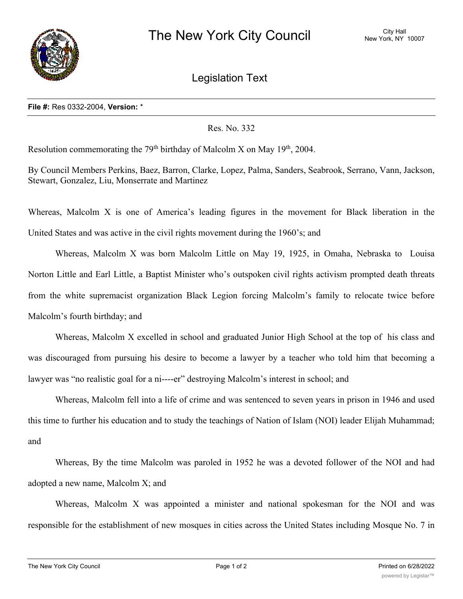

Legislation Text

## **File #:** Res 0332-2004, **Version:** \*

## Res. No. 332

Resolution commemorating the 79<sup>th</sup> birthday of Malcolm X on May 19<sup>th</sup>, 2004.

By Council Members Perkins, Baez, Barron, Clarke, Lopez, Palma, Sanders, Seabrook, Serrano, Vann, Jackson, Stewart, Gonzalez, Liu, Monserrate and Martinez

Whereas, Malcolm X is one of America's leading figures in the movement for Black liberation in the United States and was active in the civil rights movement during the 1960's; and

Whereas, Malcolm X was born Malcolm Little on May 19, 1925, in Omaha, Nebraska to Louisa Norton Little and Earl Little, a Baptist Minister who's outspoken civil rights activism prompted death threats from the white supremacist organization Black Legion forcing Malcolm's family to relocate twice before Malcolm's fourth birthday; and

Whereas, Malcolm X excelled in school and graduated Junior High School at the top of his class and was discouraged from pursuing his desire to become a lawyer by a teacher who told him that becoming a lawyer was "no realistic goal for a ni----er" destroying Malcolm's interest in school; and

Whereas, Malcolm fell into a life of crime and was sentenced to seven years in prison in 1946 and used this time to further his education and to study the teachings of Nation of Islam (NOI) leader Elijah Muhammad; and

Whereas, By the time Malcolm was paroled in 1952 he was a devoted follower of the NOI and had adopted a new name, Malcolm X; and

Whereas, Malcolm X was appointed a minister and national spokesman for the NOI and was responsible for the establishment of new mosques in cities across the United States including Mosque No. 7 in